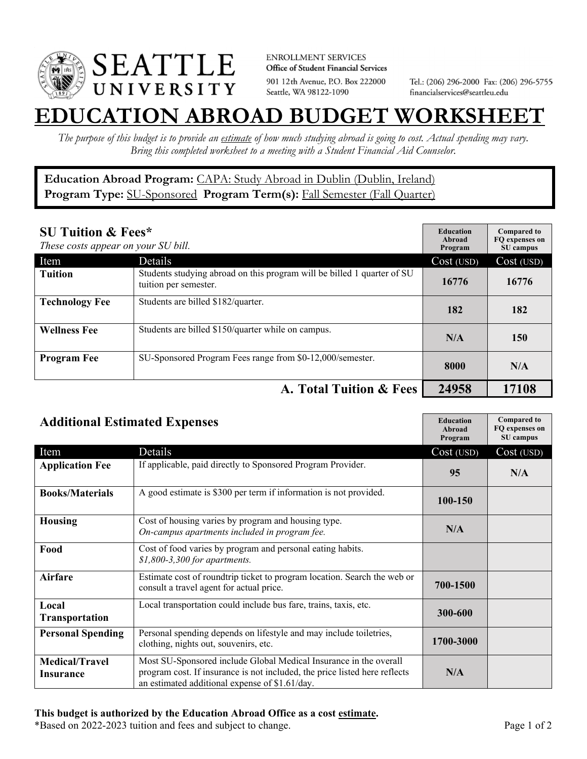

**ENROLLMENT SERVICES** Office of Student Financial Services 901 12th Avenue, P.O. Box 222000 Seattle, WA 98122-1090

Tel.: (206) 296-2000 Fax: (206) 296-5755 financialservices@seattleu.edu

## **EATION ABROAD BUDGET WORKSHEE**

*The purpose of this budget is to provide an estimate of how much studying abroad is going to cost. Actual spending may vary. Bring this completed worksheet to a meeting with a Student Financial Aid Counselor.* 

## **Education Abroad Program:** CAPA: Study Abroad in Dublin (Dublin, Ireland) Program Type: **SU-Sponsored** Program Term(s): **Fall Semester (Fall Quarter)**

| <b>SU Tuition &amp; Fees*</b><br>These costs appear on your SU bill. |                                                                                                  | <b>Education</b><br>Abroad<br>Program | <b>Compared to</b><br>FO expenses on<br>SU campus |
|----------------------------------------------------------------------|--------------------------------------------------------------------------------------------------|---------------------------------------|---------------------------------------------------|
| Item                                                                 | Details                                                                                          | Cost (USD)                            | Cost (USD)                                        |
| <b>Tuition</b>                                                       | Students studying abroad on this program will be billed 1 quarter of SU<br>tuition per semester. | 16776                                 | 16776                                             |
| <b>Technology Fee</b>                                                | Students are billed \$182/quarter.                                                               | 182                                   | 182                                               |
| <b>Wellness Fee</b>                                                  | Students are billed \$150/quarter while on campus.                                               | N/A                                   | 150                                               |
| <b>Program Fee</b>                                                   | SU-Sponsored Program Fees range from \$0-12,000/semester.                                        | 8000                                  | N/A                                               |
| A. Total Tuition & Fees                                              |                                                                                                  | 24958                                 | 17108                                             |

| <b>Additional Estimated Expenses</b> |                                                                                                                                                                                                   | <b>Education</b><br>Abroad<br>Program | <b>Compared to</b><br>FQ expenses on<br>SU campus |
|--------------------------------------|---------------------------------------------------------------------------------------------------------------------------------------------------------------------------------------------------|---------------------------------------|---------------------------------------------------|
| Item                                 | Details                                                                                                                                                                                           | Cost (USD)                            | Cost (USD)                                        |
| <b>Application Fee</b>               | If applicable, paid directly to Sponsored Program Provider.                                                                                                                                       | 95                                    | N/A                                               |
| <b>Books/Materials</b>               | A good estimate is \$300 per term if information is not provided.                                                                                                                                 | 100-150                               |                                                   |
| <b>Housing</b>                       | Cost of housing varies by program and housing type.<br>On-campus apartments included in program fee.                                                                                              | N/A                                   |                                                   |
| Food                                 | Cost of food varies by program and personal eating habits.<br>\$1,800-3,300 for apartments.                                                                                                       |                                       |                                                   |
| <b>Airfare</b>                       | Estimate cost of roundtrip ticket to program location. Search the web or<br>consult a travel agent for actual price.                                                                              | 700-1500                              |                                                   |
| Local<br><b>Transportation</b>       | Local transportation could include bus fare, trains, taxis, etc.                                                                                                                                  | 300-600                               |                                                   |
| <b>Personal Spending</b>             | Personal spending depends on lifestyle and may include toiletries,<br>clothing, nights out, souvenirs, etc.                                                                                       | 1700-3000                             |                                                   |
| <b>Medical/Travel</b><br>Insurance   | Most SU-Sponsored include Global Medical Insurance in the overall<br>program cost. If insurance is not included, the price listed here reflects<br>an estimated additional expense of \$1.61/day. | N/A                                   |                                                   |

\*Based on 2022-2023 tuition and fees and subject to change. Page 1 of 2